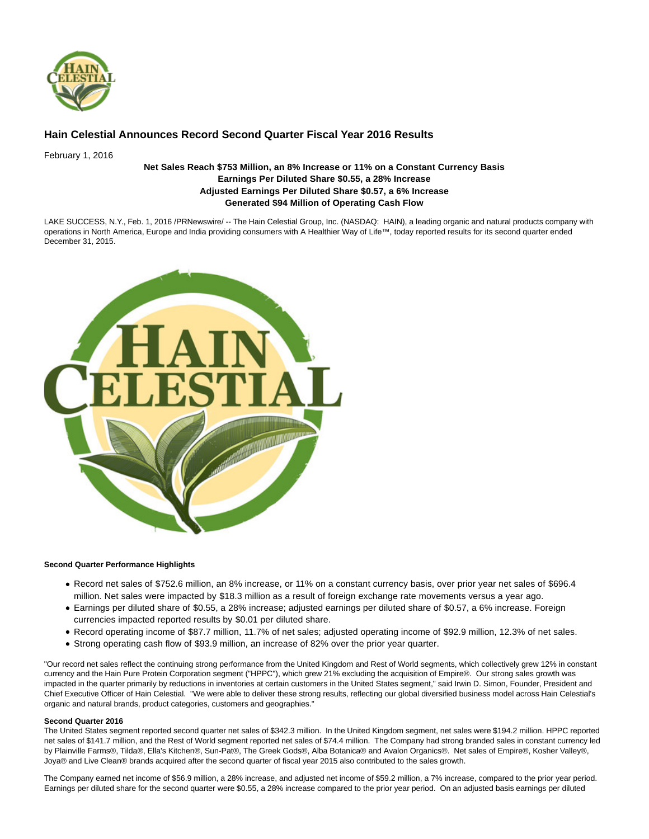

# **Hain Celestial Announces Record Second Quarter Fiscal Year 2016 Results**

February 1, 2016

# **Net Sales Reach \$753 Million, an 8% Increase or 11% on a Constant Currency Basis Earnings Per Diluted Share \$0.55, a 28% Increase Adjusted Earnings Per Diluted Share \$0.57, a 6% Increase Generated \$94 Million of Operating Cash Flow**

LAKE SUCCESS, N.Y., Feb. 1, 2016 /PRNewswire/ -- The Hain Celestial Group, Inc. (NASDAQ: HAIN), a leading organic and natural products company with operations in North America, Europe and India providing consumers with A Healthier Way of Life™, today reported results for its second quarter ended December 31, 2015.



# **Second Quarter Performance Highlights**

- Record net sales of \$752.6 million, an 8% increase, or 11% on a constant currency basis, over prior year net sales of \$696.4 million. Net sales were impacted by \$18.3 million as a result of foreign exchange rate movements versus a year ago.
- Earnings per diluted share of \$0.55, a 28% increase; adjusted earnings per diluted share of \$0.57, a 6% increase. Foreign currencies impacted reported results by \$0.01 per diluted share.
- Record operating income of \$87.7 million, 11.7% of net sales; adjusted operating income of \$92.9 million, 12.3% of net sales.
- Strong operating cash flow of \$93.9 million, an increase of 82% over the prior year quarter.

"Our record net sales reflect the continuing strong performance from the United Kingdom and Rest of World segments, which collectively grew 12% in constant currency and the Hain Pure Protein Corporation segment ("HPPC"), which grew 21% excluding the acquisition of Empire®. Our strong sales growth was impacted in the quarter primarily by reductions in inventories at certain customers in the United States segment," said Irwin D. Simon, Founder, President and Chief Executive Officer of Hain Celestial. "We were able to deliver these strong results, reflecting our global diversified business model across Hain Celestial's organic and natural brands, product categories, customers and geographies."

# **Second Quarter 2016**

The United States segment reported second quarter net sales of \$342.3 million. In the United Kingdom segment, net sales were \$194.2 million. HPPC reported net sales of \$141.7 million, and the Rest of World segment reported net sales of \$74.4 million. The Company had strong branded sales in constant currency led by Plainville Farms®, Tilda®, Ella's Kitchen®, Sun-Pat®, The Greek Gods®, Alba Botanica® and Avalon Organics®. Net sales of Empire®, Kosher Valley®, Joya® and Live Clean® brands acquired after the second quarter of fiscal year 2015 also contributed to the sales growth.

The Company earned net income of \$56.9 million, a 28% increase, and adjusted net income of \$59.2 million, a 7% increase, compared to the prior year period. Earnings per diluted share for the second quarter were \$0.55, a 28% increase compared to the prior year period. On an adjusted basis earnings per diluted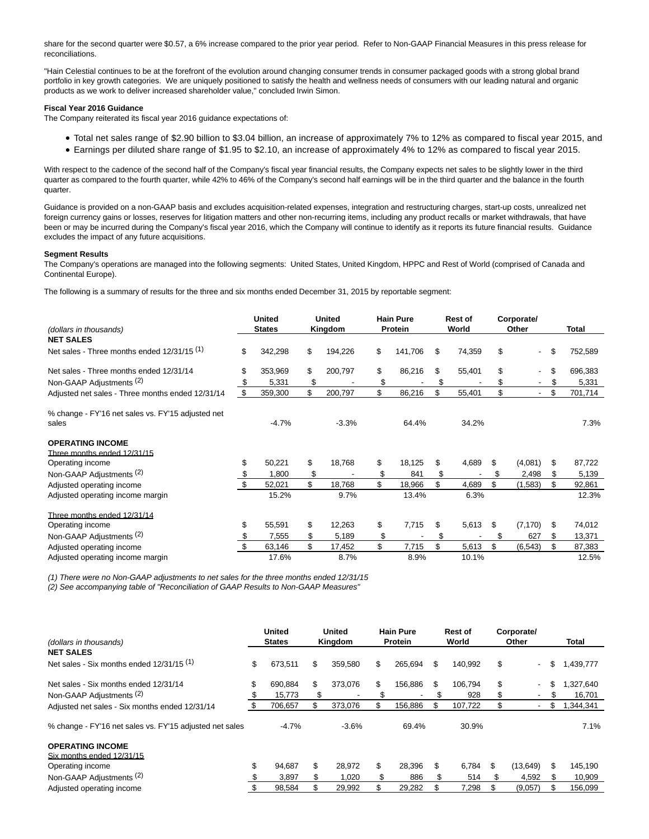share for the second quarter were \$0.57, a 6% increase compared to the prior year period. Refer to Non-GAAP Financial Measures in this press release for reconciliations.

"Hain Celestial continues to be at the forefront of the evolution around changing consumer trends in consumer packaged goods with a strong global brand portfolio in key growth categories. We are uniquely positioned to satisfy the health and wellness needs of consumers with our leading natural and organic products as we work to deliver increased shareholder value," concluded Irwin Simon.

# **Fiscal Year 2016 Guidance**

The Company reiterated its fiscal year 2016 guidance expectations of:

- Total net sales range of \$2.90 billion to \$3.04 billion, an increase of approximately 7% to 12% as compared to fiscal year 2015, and
- Earnings per diluted share range of \$1.95 to \$2.10, an increase of approximately 4% to 12% as compared to fiscal year 2015.

With respect to the cadence of the second half of the Company's fiscal year financial results, the Company expects net sales to be slightly lower in the third quarter as compared to the fourth quarter, while 42% to 46% of the Company's second half earnings will be in the third quarter and the balance in the fourth quarter.

Guidance is provided on a non-GAAP basis and excludes acquisition-related expenses, integration and restructuring charges, start-up costs, unrealized net foreign currency gains or losses, reserves for litigation matters and other non-recurring items, including any product recalls or market withdrawals, that have been or may be incurred during the Company's fiscal year 2016, which the Company will continue to identify as it reports its future financial results. Guidance excludes the impact of any future acquisitions.

# **Segment Results**

The Company's operations are managed into the following segments: United States, United Kingdom, HPPC and Rest of World (comprised of Canada and Continental Europe).

The following is a summary of results for the three and six months ended December 31, 2015 by reportable segment:

| (dollars in thousands)                                   | <b>United</b><br><b>States</b> | <b>United</b><br>Kingdom | <b>Hain Pure</b><br>Protein |     | Rest of<br>World |    | Corporate/<br>Other      |    | Total   |
|----------------------------------------------------------|--------------------------------|--------------------------|-----------------------------|-----|------------------|----|--------------------------|----|---------|
| <b>NET SALES</b>                                         |                                |                          |                             |     |                  |    |                          |    |         |
| Net sales - Three months ended $12/31/15$ <sup>(1)</sup> | \$<br>342,298                  | \$<br>194,226            | \$<br>141,706               | \$  | 74,359           | \$ |                          | \$ | 752,589 |
| Net sales - Three months ended 12/31/14                  | \$<br>353,969                  | \$<br>200,797            | \$<br>86,216                | \$. | 55,401           | \$ |                          | S  | 696,383 |
| Non-GAAP Adjustments (2)                                 | \$<br>5,331                    | \$                       | \$                          |     |                  | \$ | $\overline{\phantom{a}}$ | S  | 5,331   |
| Adjusted net sales - Three months ended 12/31/14         | \$<br>359,300                  | \$<br>200,797            | \$<br>86,216                | \$  | 55,401           | \$ | $\blacksquare$           | \$ | 701,714 |
| % change - FY'16 net sales vs. FY'15 adjusted net        |                                |                          |                             |     |                  |    |                          |    |         |
| sales                                                    | $-4.7%$                        | $-3.3%$                  | 64.4%                       |     | 34.2%            |    |                          |    | 7.3%    |
| <b>OPERATING INCOME</b>                                  |                                |                          |                             |     |                  |    |                          |    |         |
| Three months ended 12/31/15                              |                                |                          |                             |     |                  |    |                          |    |         |
| Operating income                                         | \$<br>50,221                   | \$<br>18,768             | \$<br>18,125                | \$  | 4,689            | \$ | (4,081)                  | \$ | 87,722  |
| Non-GAAP Adjustments (2)                                 | \$<br>1,800                    | \$                       | \$<br>841                   | \$  |                  | S  | 2,498                    | \$ | 5,139   |
| Adjusted operating income                                | \$<br>52,021                   | \$<br>18,768             | \$<br>18,966                | \$  | 4,689            | \$ | (1,583)                  | \$ | 92,861  |
| Adjusted operating income margin                         | 15.2%                          | 9.7%                     | 13.4%                       |     | 6.3%             |    |                          |    | 12.3%   |
| Three months ended 12/31/14                              |                                |                          |                             |     |                  |    |                          |    |         |
| Operating income                                         | \$<br>55,591                   | \$<br>12,263             | \$<br>7,715                 | \$  | 5,613            | \$ | (7, 170)                 | \$ | 74,012  |
| Non-GAAP Adjustments (2)                                 | 7,555                          | \$<br>5,189              | \$                          |     |                  |    | 627                      | \$ | 13,371  |
| Adjusted operating income                                | 63,146                         | \$<br>17,452             | \$<br>7,715                 | \$  | 5,613            | \$ | (6, 543)                 | \$ | 87,383  |
| Adjusted operating income margin                         | 17.6%                          | 8.7%                     | 8.9%                        |     | 10.1%            |    |                          |    | 12.5%   |

(1) There were no Non-GAAP adjustments to net sales for the three months ended 12/31/15

(2) See accompanying table of "Reconciliation of GAAP Results to Non-GAAP Measures"

| (dollars in thousands)                                  |    | United<br><b>States</b> | <b>United</b><br>Kingdom |     | <b>Hain Pure</b><br>Protein |     | <b>Rest of</b><br>World | Corporate/<br>Other            |     | <b>Total</b> |
|---------------------------------------------------------|----|-------------------------|--------------------------|-----|-----------------------------|-----|-------------------------|--------------------------------|-----|--------------|
| <b>NET SALES</b>                                        |    |                         |                          |     |                             |     |                         |                                |     |              |
| Net sales - Six months ended $12/31/15$ <sup>(1)</sup>  | \$ | 673.511                 | \$<br>359.580            | \$  | 265.694                     | \$  | 140.992                 | \$<br>$\overline{\phantom{0}}$ | \$  | 1,439,777    |
| Net sales - Six months ended 12/31/14                   | \$ | 690.884                 | \$<br>373.076            | \$  | 156,886                     | \$  | 106.794                 | \$<br>$\overline{\phantom{0}}$ | \$  | ,327,640     |
| Non-GAAP Adjustments (2)                                |    | 15,773                  | \$                       |     |                             |     | 928                     | \$                             | S   | 16,701       |
| Adjusted net sales - Six months ended 12/31/14          | S  | 706,657                 | \$<br>373,076            | \$. | 156,886                     |     | 107.722                 | -                              | \$  | ,344,341     |
| % change - FY'16 net sales vs. FY'15 adjusted net sales |    | $-4.7%$                 | $-3.6%$                  |     | 69.4%                       |     | 30.9%                   |                                |     | 7.1%         |
| <b>OPERATING INCOME</b>                                 |    |                         |                          |     |                             |     |                         |                                |     |              |
| Six months ended 12/31/15                               |    |                         |                          |     |                             |     |                         |                                |     |              |
| Operating income                                        | \$ | 94.687                  | \$<br>28.972             | \$  | 28.396                      | \$  | 6.784                   | \$<br>(13, 649)                | \$  | 145,190      |
| Non-GAAP Adjustments (2)                                | S  | 3.897                   | \$<br>1.020              | \$  | 886                         | \$. | 514                     | \$<br>4,592                    | \$. | 10,909       |
| Adjusted operating income                               | \$ | 98,584                  | \$<br>29,992             | \$  | 29,282                      | \$  | 7,298                   | \$<br>(9,057)                  | \$  | 156.099      |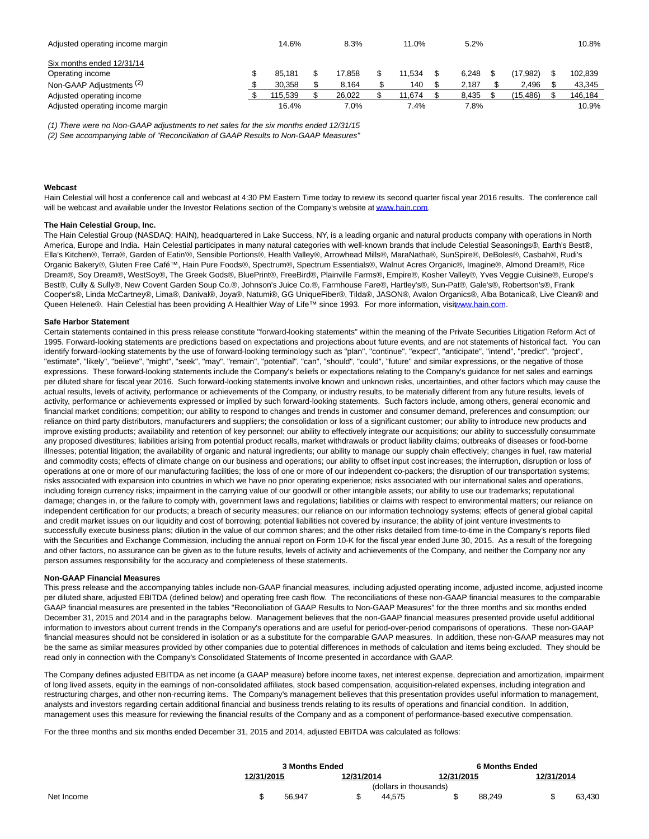| Adjusted operating income margin | 14.6%   | 8.3%         | 11.0%  | 5.2%  |          | 10.8%   |
|----------------------------------|---------|--------------|--------|-------|----------|---------|
| Six months ended 12/31/14        |         |              |        |       |          |         |
| Operating income                 | 85.181  | \$<br>17.858 | 11.534 | 6.248 | (17.982) | 102.839 |
| Non-GAAP Adjustments (2)         | 30.358  | 8.164        | 140    | 2.187 | 2.496    | 43.345  |
| Adjusted operating income        | 115,539 | 26.022       | 11,674 | 8.435 | (15.486) | 146.184 |
| Adjusted operating income margin | 16.4%   | 7.0%         | 7.4%   | 7.8%  |          | 10.9%   |

(1) There were no Non-GAAP adjustments to net sales for the six months ended 12/31/15

(2) See accompanying table of "Reconciliation of GAAP Results to Non-GAAP Measures"

# **Webcast**

Hain Celestial will host a conference call and webcast at 4:30 PM Eastern Time today to review its second quarter fiscal year 2016 results. The conference call will be webcast and available under the Investor Relations section of the Company's website a[t www.hain.com.](http://www.hain.com/)

# **The Hain Celestial Group, Inc.**

The Hain Celestial Group (NASDAQ: HAIN), headquartered in Lake Success, NY, is a leading organic and natural products company with operations in North America, Europe and India. Hain Celestial participates in many natural categories with well-known brands that include Celestial Seasonings®, Earth's Best®, Ella's Kitchen®, Terra®, Garden of Eatin'®, Sensible Portions®, Health Valley®, Arrowhead Mills®, MaraNatha®, SunSpire®, DeBoles®, Casbah®, Rudi's Organic Bakery®, Gluten Free Café™, Hain Pure Foods®, Spectrum®, Spectrum Essentials®, Walnut Acres Organic®, Imagine®, Almond Dream®, Rice Dream®, Soy Dream®, WestSoy®, The Greek Gods®, BluePrint®, FreeBird®, Plainville Farms®, Empire®, Kosher Valley®, Yves Veggie Cuisine®, Europe's Best®, Cully & Sully®, New Covent Garden Soup Co.®, Johnson's Juice Co.®, Farmhouse Fare®, Hartley's®, Sun-Pat®, Gale's®, Robertson's®, Frank Cooper's®, Linda McCartney®, Lima®, Danival®, Joya®, Natumi®, GG UniqueFiber®, Tilda®, JASON®, Avalon Organics®, Alba Botanica®, Live Clean® and Queen Helene®. Hain Celestial has been providing A Healthier Way of Life™ since 1993. For more information, visitwww.hain.com.

### **Safe Harbor Statement**

Certain statements contained in this press release constitute "forward-looking statements" within the meaning of the Private Securities Litigation Reform Act of 1995. Forward-looking statements are predictions based on expectations and projections about future events, and are not statements of historical fact. You can identify forward-looking statements by the use of forward-looking terminology such as "plan", "continue", "expect", "anticipate", "intend", "predict", "project", "estimate", "likely", "believe", "might", "seek", "may", "remain", "potential", "can", "should", "could", "future" and similar expressions, or the negative of those expressions. These forward-looking statements include the Company's beliefs or expectations relating to the Company's guidance for net sales and earnings per diluted share for fiscal year 2016. Such forward-looking statements involve known and unknown risks, uncertainties, and other factors which may cause the actual results, levels of activity, performance or achievements of the Company, or industry results, to be materially different from any future results, levels of activity, performance or achievements expressed or implied by such forward-looking statements. Such factors include, among others, general economic and financial market conditions; competition; our ability to respond to changes and trends in customer and consumer demand, preferences and consumption; our reliance on third party distributors, manufacturers and suppliers; the consolidation or loss of a significant customer; our ability to introduce new products and improve existing products; availability and retention of key personnel; our ability to effectively integrate our acquisitions; our ability to successfully consummate any proposed divestitures; liabilities arising from potential product recalls, market withdrawals or product liability claims; outbreaks of diseases or food-borne illnesses; potential litigation; the availability of organic and natural ingredients; our ability to manage our supply chain effectively; changes in fuel, raw material and commodity costs; effects of climate change on our business and operations; our ability to offset input cost increases; the interruption, disruption or loss of operations at one or more of our manufacturing facilities; the loss of one or more of our independent co-packers; the disruption of our transportation systems; risks associated with expansion into countries in which we have no prior operating experience; risks associated with our international sales and operations, including foreign currency risks; impairment in the carrying value of our goodwill or other intangible assets; our ability to use our trademarks; reputational damage; changes in, or the failure to comply with, government laws and regulations; liabilities or claims with respect to environmental matters; our reliance on independent certification for our products; a breach of security measures; our reliance on our information technology systems; effects of general global capital and credit market issues on our liquidity and cost of borrowing; potential liabilities not covered by insurance; the ability of joint venture investments to successfully execute business plans; dilution in the value of our common shares; and the other risks detailed from time-to-time in the Company's reports filed with the Securities and Exchange Commission, including the annual report on Form 10-K for the fiscal year ended June 30, 2015. As a result of the foregoing and other factors, no assurance can be given as to the future results, levels of activity and achievements of the Company, and neither the Company nor any person assumes responsibility for the accuracy and completeness of these statements.

#### **Non-GAAP Financial Measures**

This press release and the accompanying tables include non-GAAP financial measures, including adjusted operating income, adjusted income, adjusted income per diluted share, adjusted EBITDA (defined below) and operating free cash flow. The reconciliations of these non-GAAP financial measures to the comparable GAAP financial measures are presented in the tables "Reconciliation of GAAP Results to Non-GAAP Measures" for the three months and six months ended December 31, 2015 and 2014 and in the paragraphs below. Management believes that the non-GAAP financial measures presented provide useful additional information to investors about current trends in the Company's operations and are useful for period-over-period comparisons of operations. These non-GAAP financial measures should not be considered in isolation or as a substitute for the comparable GAAP measures. In addition, these non-GAAP measures may not be the same as similar measures provided by other companies due to potential differences in methods of calculation and items being excluded. They should be read only in connection with the Company's Consolidated Statements of Income presented in accordance with GAAP.

The Company defines adjusted EBITDA as net income (a GAAP measure) before income taxes, net interest expense, depreciation and amortization, impairment of long lived assets, equity in the earnings of non-consolidated affiliates, stock based compensation, acquisition-related expenses, including integration and restructuring charges, and other non-recurring items. The Company's management believes that this presentation provides useful information to management, analysts and investors regarding certain additional financial and business trends relating to its results of operations and financial condition. In addition, management uses this measure for reviewing the financial results of the Company and as a component of performance-based executive compensation.

For the three months and six months ended December 31, 2015 and 2014, adjusted EBITDA was calculated as follows:

|            |            | <b>3 Months Ended</b> |            |                        |            | <b>6 Months Ended</b> |            |        |
|------------|------------|-----------------------|------------|------------------------|------------|-----------------------|------------|--------|
|            | 12/31/2015 |                       | 12/31/2014 |                        | 12/31/2015 |                       | 12/31/2014 |        |
|            |            |                       |            | (dollars in thousands) |            |                       |            |        |
| Net Income |            | 56.947                |            | 44.575                 |            | 88.249                |            | 63,430 |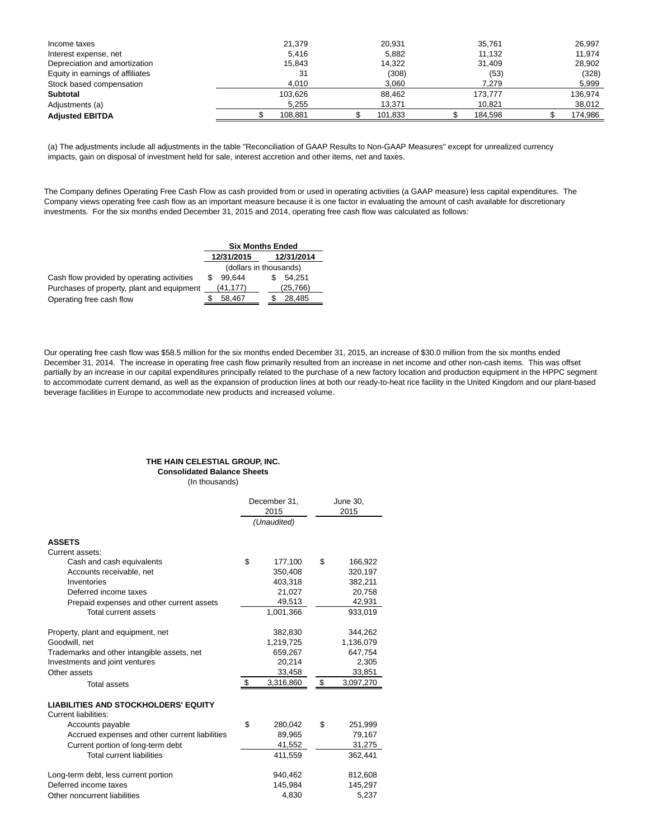| Income taxes                     | 21.379  | 20,931  | 35,761  | 26.997  |
|----------------------------------|---------|---------|---------|---------|
| Interest expense, net            | 5.416   | 5,882   | 11,132  | 11.974  |
| Depreciation and amortization    | 15.843  | 14.322  | 31,409  | 28.902  |
| Equity in earnings of affiliates | 31      | (308)   | (53)    | (328)   |
| Stock based compensation         | 4.010   | 3.060   | 7.279   | 5,999   |
| <b>Subtotal</b>                  | 103.626 | 88.462  | 173.777 | 136.974 |
| Adjustments (a)                  | 5.255   | 13.371  | 10.821  | 38,012  |
| <b>Adjusted EBITDA</b>           | 108.881 | 101.833 | 184.598 | 174,986 |

(a) The adjustments include all adjustments in the table "Reconciliation of GAAP Results to Non-GAAP Measures" except for unrealized currency impacts, gain on disposal of investment held for sale, interest accretion and other items, net and taxes.

The Company defines Operating Free Cash Flow as cash provided from or used in operating activities (a GAAP measure) less capital expenditures. The Company views operating free cash flow as an important measure because it is one factor in evaluating the amount of cash available for discretionary investments. For the six months ended December 31, 2015 and 2014, operating free cash flow was calculated as follows:

|                                            |                          | <b>Six Months Ended</b> |  |  |  |  |  |  |
|--------------------------------------------|--------------------------|-------------------------|--|--|--|--|--|--|
|                                            | 12/31/2015<br>12/31/2014 |                         |  |  |  |  |  |  |
|                                            |                          | (dollars in thousands)  |  |  |  |  |  |  |
| Cash flow provided by operating activities | 99.644                   | 54.251                  |  |  |  |  |  |  |
| Purchases of property, plant and equipment | (41.177)                 | (25, 766)               |  |  |  |  |  |  |
| Operating free cash flow                   | 58,467                   | 28.485                  |  |  |  |  |  |  |

Our operating free cash flow was \$58.5 million for the six months ended December 31, 2015, an increase of \$30.0 million from the six months ended December 31, 2014. The increase in operating free cash flow primarily resulted from an increase in net income and other non-cash items. This was offset partially by an increase in our capital expenditures principally related to the purchase of a new factory location and production equipment in the HPPC segment to accommodate current demand, as well as the expansion of production lines at both our ready-to-heat rice facility in the United Kingdom and our plant-based beverage facilities in Europe to accommodate new products and increased volume.

# **THE HAIN CELESTIAL GROUP, INC. Consolidated Balance Sheets**

(In thousands)

|                                                     | December 31,<br>2015<br>(Unaudited) | June 30,<br>2015 |
|-----------------------------------------------------|-------------------------------------|------------------|
|                                                     |                                     |                  |
| <b>ASSETS</b>                                       |                                     |                  |
| Current assets:                                     |                                     |                  |
| Cash and cash equivalents                           | \$<br>177,100                       | \$<br>166,922    |
| Accounts receivable, net                            | 350,408                             | 320,197          |
| Inventories                                         | 403,318                             | 382,211          |
| Deferred income taxes                               | 21,027                              | 20,758           |
| Prepaid expenses and other current assets           | 49,513                              | 42,931           |
| Total current assets                                | 1,001,366                           | 933,019          |
|                                                     | 382,830                             | 344,262          |
| Property, plant and equipment, net<br>Goodwill, net |                                     |                  |
|                                                     | 1,219,725                           | 1,136,079        |
| Trademarks and other intangible assets, net         | 659,267                             | 647,754          |
| Investments and joint ventures                      | 20,214                              | 2,305            |
| Other assets                                        | 33,458                              | 33,851           |
| <b>Total assets</b>                                 | \$<br>3,316,860                     | \$<br>3,097,270  |
| <b>LIABILITIES AND STOCKHOLDERS' EQUITY</b>         |                                     |                  |
| <b>Current liabilities:</b>                         |                                     |                  |
| Accounts payable                                    | \$<br>280,042                       | \$<br>251,999    |
| Accrued expenses and other current liabilities      | 89,965                              | 79,167           |
| Current portion of long-term debt                   | 41,552                              | 31,275           |
| <b>Total current liabilities</b>                    | 411,559                             | 362,441          |
| Long-term debt, less current portion                | 940,462                             | 812,608          |
| Deferred income taxes                               | 145,984                             | 145,297          |
|                                                     | 4,830                               | 5,237            |
| Other noncurrent liabilities                        |                                     |                  |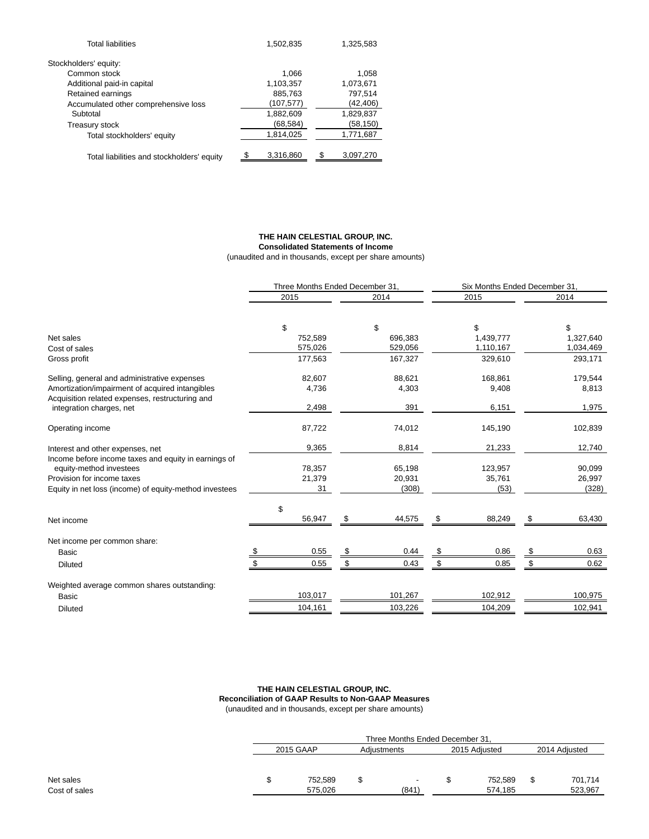| Total liabilities                          | 1,502,835       | 1,325,583 |
|--------------------------------------------|-----------------|-----------|
| Stockholders' equity:                      |                 |           |
| Common stock                               | 1.066           | 1,058     |
| Additional paid-in capital                 | 1,103,357       | 1,073,671 |
| Retained earnings                          | 885,763         | 797,514   |
| Accumulated other comprehensive loss       | (107,577)       | (42, 406) |
| Subtotal                                   | 1,882,609       | 1,829,837 |
| Treasury stock                             | (68,584)        | (58,150)  |
| Total stockholders' equity                 | 1,814,025       | 1,771,687 |
|                                            |                 |           |
| Total liabilities and stockholders' equity | \$<br>3,316,860 | 3,097,270 |

## **THE HAIN CELESTIAL GROUP, INC. Consolidated Statements of Income**

(unaudited and in thousands, except per share amounts)

|                                                                                 |         | Three Months Ended December 31, |              | Six Months Ended December 31, |  |
|---------------------------------------------------------------------------------|---------|---------------------------------|--------------|-------------------------------|--|
|                                                                                 | 2015    | 2014                            | 2015         | 2014                          |  |
|                                                                                 | \$      | \$                              | \$           | \$                            |  |
| Net sales                                                                       | 752,589 | 696,383                         | 1,439,777    | 1,327,640                     |  |
| Cost of sales                                                                   | 575,026 | 529,056                         | 1,110,167    | 1,034,469                     |  |
| Gross profit                                                                    | 177,563 | 167,327                         | 329,610      | 293,171                       |  |
| Selling, general and administrative expenses                                    | 82,607  | 88,621                          | 168,861      | 179,544                       |  |
| Amortization/impairment of acquired intangibles                                 | 4,736   | 4,303                           | 9,408        | 8,813                         |  |
| Acquisition related expenses, restructuring and<br>integration charges, net     | 2,498   | 391                             | 6,151        | 1,975                         |  |
| Operating income                                                                | 87,722  | 74,012                          | 145,190      | 102,839                       |  |
| Interest and other expenses, net                                                | 9,365   | 8,814                           | 21,233       | 12,740                        |  |
| Income before income taxes and equity in earnings of<br>equity-method investees | 78,357  | 65,198                          | 123,957      | 90,099                        |  |
| Provision for income taxes                                                      | 21,379  | 20,931                          | 35,761       | 26,997                        |  |
| Equity in net loss (income) of equity-method investees                          | 31      | (308)                           | (53)         | (328)                         |  |
|                                                                                 | \$      |                                 |              |                               |  |
| Net income                                                                      | 56,947  | 44,575<br>\$                    | 88,249<br>\$ | 63,430                        |  |
| Net income per common share:                                                    |         |                                 |              |                               |  |
| <b>Basic</b>                                                                    | 0.55    | \$<br>0.44                      | \$<br>0.86   | 0.63<br>\$                    |  |
| <b>Diluted</b>                                                                  | 0.55    | \$<br>0.43                      | \$<br>0.85   | \$<br>0.62                    |  |
| Weighted average common shares outstanding:                                     |         |                                 |              |                               |  |
| <b>Basic</b>                                                                    | 103,017 | 101,267                         | 102,912      | 100,975                       |  |
| <b>Diluted</b>                                                                  | 104,161 | 103,226                         | 104,209      | 102,941                       |  |

# **THE HAIN CELESTIAL GROUP, INC.**

 **Reconciliation of GAAP Results to Non-GAAP Measures** 

(unaudited and in thousands, except per share amounts)

|               | Three Months Ended December 31. |         |             |                          |  |               |               |         |  |  |
|---------------|---------------------------------|---------|-------------|--------------------------|--|---------------|---------------|---------|--|--|
|               | 2015 GAAP                       |         | Adiustments |                          |  | 2015 Adiusted | 2014 Adiusted |         |  |  |
|               |                                 |         |             |                          |  |               |               |         |  |  |
| Net sales     |                                 | 752.589 |             | $\overline{\phantom{a}}$ |  | 752,589       |               | 701,714 |  |  |
| Cost of sales |                                 | 575.026 |             | (841)                    |  | 574.185       |               | 523,967 |  |  |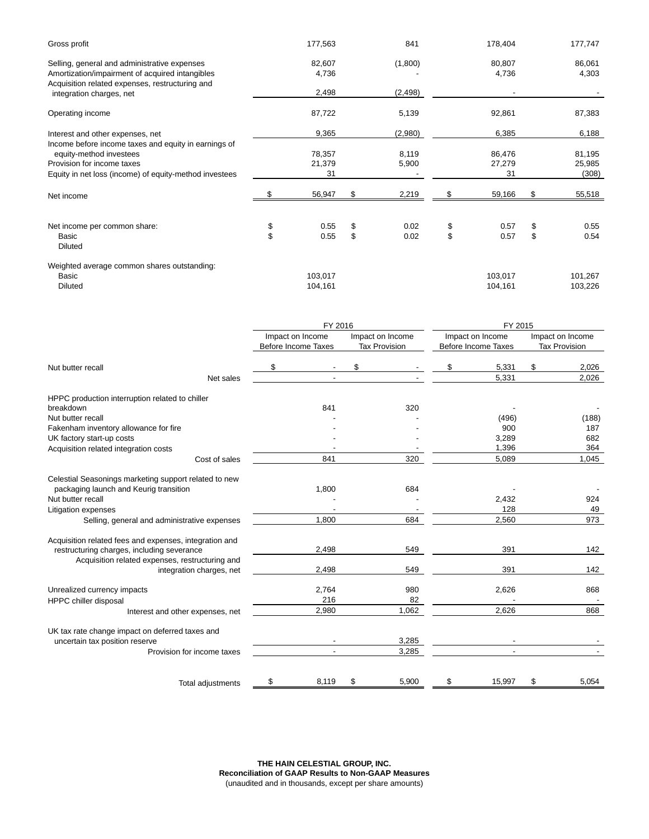| Gross profit                                                                | 177,563    |     | 841      |    | 178,404 | 177,747    |
|-----------------------------------------------------------------------------|------------|-----|----------|----|---------|------------|
| Selling, general and administrative expenses                                | 82,607     |     | (1,800)  |    | 80,807  | 86,061     |
| Amortization/impairment of acquired intangibles                             | 4,736      |     |          |    | 4,736   | 4,303      |
| Acquisition related expenses, restructuring and<br>integration charges, net | 2,498      |     | (2, 498) |    |         |            |
| Operating income                                                            | 87,722     |     | 5,139    |    | 92,861  | 87,383     |
| Interest and other expenses, net                                            | 9,365      |     | (2,980)  |    | 6,385   | 6,188      |
| Income before income taxes and equity in earnings of                        |            |     |          |    |         |            |
| equity-method investees                                                     | 78,357     |     | 8,119    |    | 86,476  | 81,195     |
| Provision for income taxes                                                  | 21,379     |     | 5,900    |    | 27,279  | 25,985     |
| Equity in net loss (income) of equity-method investees                      | 31         |     |          |    | 31      | (308)      |
| Net income                                                                  | 56,947     | \$. | 2,219    | S  | 59,166  | 55,518     |
|                                                                             |            |     |          |    |         |            |
| Net income per common share:                                                | \$<br>0.55 | \$  | 0.02     | \$ | 0.57    | \$<br>0.55 |
| Basic<br><b>Diluted</b>                                                     | \$<br>0.55 | \$  | 0.02     | \$ | 0.57    | \$<br>0.54 |
| Weighted average common shares outstanding:                                 |            |     |          |    |         |            |
| Basic                                                                       | 103,017    |     |          |    | 103,017 | 101,267    |
| <b>Diluted</b>                                                              | 104,161    |     |          |    | 104,161 | 103,226    |

|                                                        |                                                | FY 2015                  |                                          |       |    |                                                |                                          |       |
|--------------------------------------------------------|------------------------------------------------|--------------------------|------------------------------------------|-------|----|------------------------------------------------|------------------------------------------|-------|
|                                                        | Impact on Income<br><b>Before Income Taxes</b> |                          | Impact on Income<br><b>Tax Provision</b> |       |    | Impact on Income<br><b>Before Income Taxes</b> | Impact on Income<br><b>Tax Provision</b> |       |
|                                                        |                                                |                          |                                          |       |    |                                                |                                          |       |
| Nut butter recall                                      | \$                                             |                          | \$                                       |       | \$ | 5,331                                          | \$                                       | 2,026 |
| Net sales                                              |                                                | $\overline{\phantom{a}}$ |                                          |       |    | 5,331                                          |                                          | 2,026 |
| HPPC production interruption related to chiller        |                                                |                          |                                          |       |    |                                                |                                          |       |
| breakdown                                              |                                                | 841                      |                                          | 320   |    |                                                |                                          |       |
| Nut butter recall                                      |                                                |                          |                                          |       |    | (496)                                          |                                          | (188) |
| Fakenham inventory allowance for fire                  |                                                |                          |                                          |       |    | 900                                            |                                          | 187   |
| UK factory start-up costs                              |                                                |                          |                                          |       |    | 3,289                                          |                                          | 682   |
| Acquisition related integration costs                  |                                                |                          |                                          |       |    | 1,396                                          |                                          | 364   |
| Cost of sales                                          |                                                | 841                      |                                          | 320   |    | 5.089                                          |                                          | 1.045 |
|                                                        |                                                |                          |                                          |       |    |                                                |                                          |       |
| Celestial Seasonings marketing support related to new  |                                                |                          |                                          |       |    |                                                |                                          |       |
| packaging launch and Keurig transition                 |                                                | 1,800                    |                                          | 684   |    |                                                |                                          |       |
| Nut butter recall                                      |                                                |                          |                                          |       |    | 2,432                                          |                                          | 924   |
| <b>Litigation expenses</b>                             |                                                |                          |                                          |       |    | 128                                            |                                          | 49    |
| Selling, general and administrative expenses           |                                                | 1.800                    |                                          | 684   |    | 2,560                                          |                                          | 973   |
| Acquisition related fees and expenses, integration and |                                                |                          |                                          |       |    |                                                |                                          |       |
| restructuring charges, including severance             |                                                | 2,498                    |                                          | 549   |    | 391                                            |                                          | 142   |
| Acquisition related expenses, restructuring and        |                                                |                          |                                          |       |    |                                                |                                          |       |
| integration charges, net                               |                                                | 2,498                    |                                          | 549   |    | 391                                            |                                          | 142   |
|                                                        |                                                |                          |                                          |       |    |                                                |                                          |       |
| Unrealized currency impacts                            |                                                | 2,764                    |                                          | 980   |    | 2,626                                          |                                          | 868   |
| HPPC chiller disposal                                  |                                                | 216                      |                                          | 82    |    |                                                |                                          |       |
| Interest and other expenses, net                       |                                                | 2,980                    |                                          | 1,062 |    | 2,626                                          |                                          | 868   |
|                                                        |                                                |                          |                                          |       |    |                                                |                                          |       |
| UK tax rate change impact on deferred taxes and        |                                                |                          |                                          |       |    |                                                |                                          |       |
| uncertain tax position reserve                         |                                                |                          |                                          | 3,285 |    |                                                |                                          |       |
| Provision for income taxes                             |                                                |                          |                                          | 3,285 |    | $\blacksquare$                                 |                                          |       |
|                                                        |                                                |                          |                                          |       |    |                                                |                                          |       |
| Total adjustments                                      | \$                                             | 8,119                    | \$                                       | 5,900 | \$ | 15.997                                         | \$                                       | 5,054 |

**THE HAIN CELESTIAL GROUP, INC. Reconciliation of GAAP Results to Non-GAAP Measures**  (unaudited and in thousands, except per share amounts)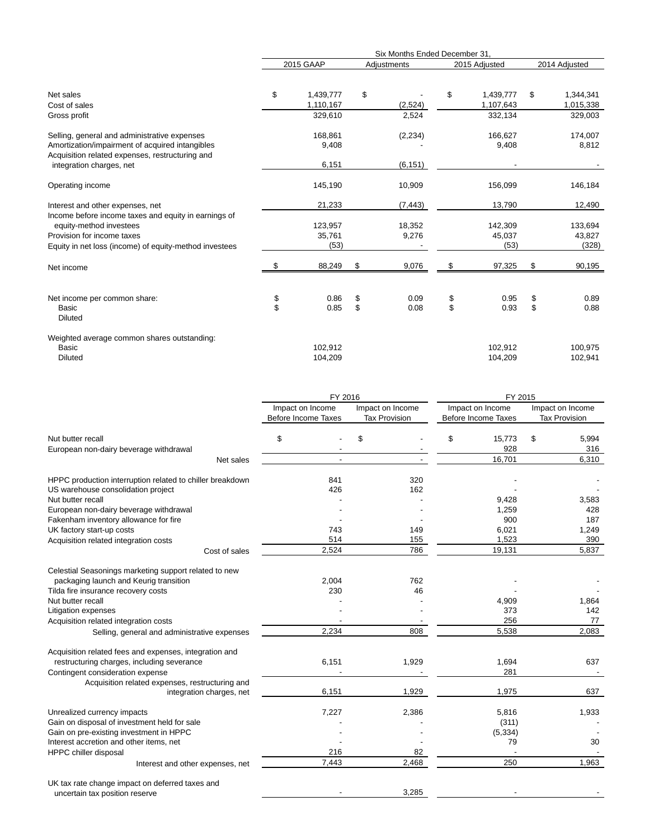|                                                                                                                                                                         | Six Months Ended December 31. |                           |             |                 |               |                           |               |                            |
|-------------------------------------------------------------------------------------------------------------------------------------------------------------------------|-------------------------------|---------------------------|-------------|-----------------|---------------|---------------------------|---------------|----------------------------|
|                                                                                                                                                                         | 2015 GAAP                     |                           | Adjustments |                 | 2015 Adjusted |                           | 2014 Adjusted |                            |
| Net sales<br>Cost of sales                                                                                                                                              | \$                            | 1,439,777<br>1,110,167    | \$          | (2,524)         | \$            | 1,439,777<br>1,107,643    | \$            | 1,344,341<br>1,015,338     |
| Gross profit                                                                                                                                                            |                               | 329,610                   |             | 2,524           |               | 332,134                   |               | 329,003                    |
| Selling, general and administrative expenses<br>Amortization/impairment of acquired intangibles<br>Acquisition related expenses, restructuring and                      |                               | 168,861<br>9,408          |             | (2, 234)        |               | 166,627<br>9,408          |               | 174,007<br>8,812           |
| integration charges, net                                                                                                                                                |                               | 6,151                     |             | (6, 151)        |               |                           |               |                            |
| Operating income                                                                                                                                                        |                               | 145,190                   |             | 10,909          |               | 156,099                   |               | 146,184                    |
| Interest and other expenses, net                                                                                                                                        |                               | 21,233                    |             | (7, 443)        |               | 13,790                    |               | 12,490                     |
| Income before income taxes and equity in earnings of<br>equity-method investees<br>Provision for income taxes<br>Equity in net loss (income) of equity-method investees |                               | 123,957<br>35,761<br>(53) |             | 18,352<br>9,276 |               | 142,309<br>45,037<br>(53) |               | 133,694<br>43,827<br>(328) |
| Net income                                                                                                                                                              |                               | 88,249                    | \$          | 9,076           | \$            | 97,325                    | \$            | 90,195                     |
| Net income per common share:<br>Basic<br><b>Diluted</b>                                                                                                                 | \$<br>\$                      | 0.86<br>0.85              | \$<br>\$    | 0.09<br>0.08    | \$<br>\$      | 0.95<br>0.93              | \$<br>\$      | 0.89<br>0.88               |
| Weighted average common shares outstanding:<br><b>Basic</b><br><b>Diluted</b>                                                                                           |                               | 102,912<br>104,209        |             |                 |               | 102,912<br>104,209        |               | 100,975<br>102,941         |

|                                                           | FY 2016             |                      | FY 2015             |                      |  |  |
|-----------------------------------------------------------|---------------------|----------------------|---------------------|----------------------|--|--|
|                                                           | Impact on Income    | Impact on Income     | Impact on Income    | Impact on Income     |  |  |
|                                                           | Before Income Taxes | <b>Tax Provision</b> | Before Income Taxes | <b>Tax Provision</b> |  |  |
| Nut butter recall                                         | \$                  | \$                   | \$<br>15,773        | \$<br>5,994          |  |  |
| European non-dairy beverage withdrawal                    |                     |                      | 928                 | 316                  |  |  |
| Net sales                                                 |                     |                      | 16,701              | 6,310                |  |  |
| HPPC production interruption related to chiller breakdown | 841                 | 320                  |                     |                      |  |  |
| US warehouse consolidation project                        | 426                 | 162                  |                     |                      |  |  |
| Nut butter recall                                         |                     |                      | 9,428               | 3,583                |  |  |
| European non-dairy beverage withdrawal                    |                     |                      | 1,259               | 428                  |  |  |
| Fakenham inventory allowance for fire                     |                     |                      | 900                 | 187                  |  |  |
| UK factory start-up costs                                 | 743                 | 149                  | 6,021               | 1,249                |  |  |
| Acquisition related integration costs                     | 514                 | 155                  | 1,523               | 390                  |  |  |
| Cost of sales                                             | 2.524               | 786                  | 19,131              | 5,837                |  |  |
| Celestial Seasonings marketing support related to new     |                     |                      |                     |                      |  |  |
| packaging launch and Keurig transition                    | 2,004               | 762                  |                     |                      |  |  |
| Tilda fire insurance recovery costs                       | 230                 | 46                   |                     |                      |  |  |
| Nut butter recall                                         |                     |                      | 4,909               | 1,864                |  |  |
| <b>Litigation expenses</b>                                |                     |                      | 373                 | 142                  |  |  |
| Acquisition related integration costs                     |                     |                      | 256                 | 77                   |  |  |
| Selling, general and administrative expenses              | 2.234               | 808                  | 5.538               | 2.083                |  |  |
| Acquisition related fees and expenses, integration and    |                     |                      |                     |                      |  |  |
| restructuring charges, including severance                | 6,151               | 1,929                | 1,694               | 637                  |  |  |
| Contingent consideration expense                          |                     |                      | 281                 |                      |  |  |
| Acquisition related expenses, restructuring and           |                     |                      |                     |                      |  |  |
| integration charges, net                                  | 6,151               | 1,929                | 1,975               | 637                  |  |  |
| Unrealized currency impacts                               | 7,227               | 2,386                | 5,816               | 1,933                |  |  |
| Gain on disposal of investment held for sale              |                     |                      | (311)               |                      |  |  |
| Gain on pre-existing investment in HPPC                   |                     |                      | (5, 334)            |                      |  |  |
| Interest accretion and other items, net                   |                     |                      | 79                  | 30                   |  |  |
| HPPC chiller disposal                                     | 216                 | 82                   |                     |                      |  |  |
| Interest and other expenses, net                          | 7,443               | 2,468                | 250                 | 1,963                |  |  |
| UK tax rate change impact on deferred taxes and           |                     |                      |                     |                      |  |  |
| uncertain tax position reserve                            |                     | 3,285                |                     |                      |  |  |